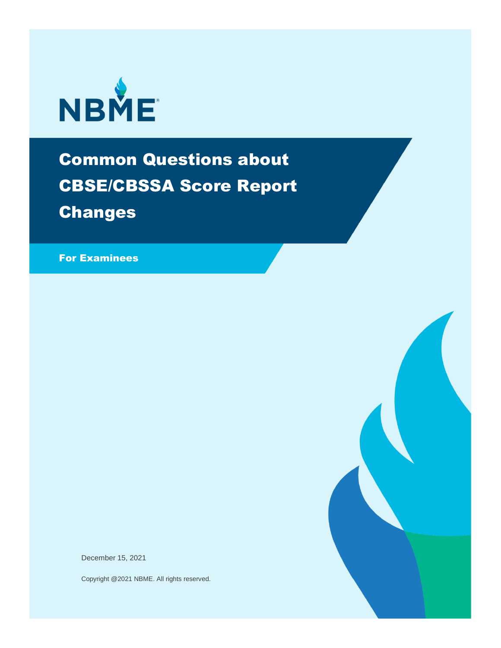

# Common Questions about CBSE/CBSSA Score Report Changes

For Examinees

December 15, 2021

Copyright @2021 NBME. All rights reserved.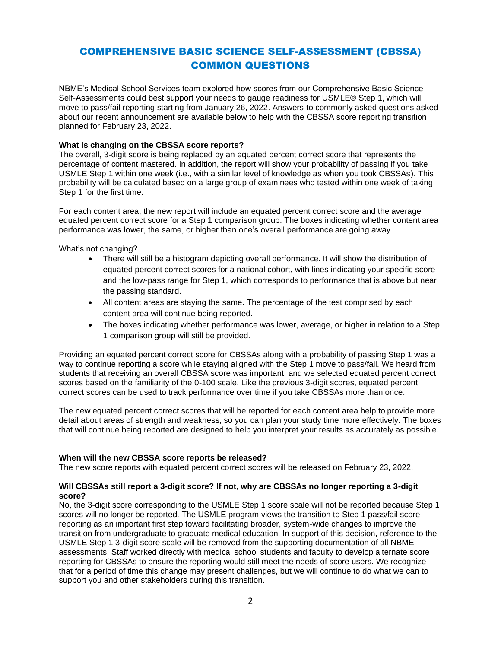# COMPREHENSIVE BASIC SCIENCE SELF-ASSESSMENT (CBSSA) COMMON QUESTIONS

NBME's Medical School Services team explored how scores from our Comprehensive Basic Science Self-Assessments could best support your needs to gauge readiness for USMLE® Step 1, which will move to pass/fail reporting starting from January 26, 2022. Answers to commonly asked questions asked about our recent announcement are available below to help with the CBSSA score reporting transition planned for February 23, 2022.

# **What is changing on the CBSSA score reports?**

The overall, 3-digit score is being replaced by an equated percent correct score that represents the percentage of content mastered. In addition, the report will show your probability of passing if you take USMLE Step 1 within one week (i.e., with a similar level of knowledge as when you took CBSSAs). This probability will be calculated based on a large group of examinees who tested within one week of taking Step 1 for the first time.

For each content area, the new report will include an equated percent correct score and the average equated percent correct score for a Step 1 comparison group. The boxes indicating whether content area performance was lower, the same, or higher than one's overall performance are going away.

What's not changing?

- There will still be a histogram depicting overall performance. It will show the distribution of equated percent correct scores for a national cohort, with lines indicating your specific score and the low-pass range for Step 1, which corresponds to performance that is above but near the passing standard.
- All content areas are staying the same. The percentage of the test comprised by each content area will continue being reported.
- The boxes indicating whether performance was lower, average, or higher in relation to a Step 1 comparison group will still be provided.

Providing an equated percent correct score for CBSSAs along with a probability of passing Step 1 was a way to continue reporting a score while staying aligned with the Step 1 move to pass/fail. We heard from students that receiving an overall CBSSA score was important, and we selected equated percent correct scores based on the familiarity of the 0-100 scale. Like the previous 3-digit scores, equated percent correct scores can be used to track performance over time if you take CBSSAs more than once.

The new equated percent correct scores that will be reported for each content area help to provide more detail about areas of strength and weakness, so you can plan your study time more effectively. The boxes that will continue being reported are designed to help you interpret your results as accurately as possible.

# **When will the new CBSSA score reports be released?**

The new score reports with equated percent correct scores will be released on February 23, 2022.

# **Will CBSSAs still report a 3-digit score? If not, why are CBSSAs no longer reporting a 3-digit score?**

No, the 3-digit score corresponding to the USMLE Step 1 score scale will not be reported because Step 1 scores will no longer be reported. The USMLE program views the transition to Step 1 pass/fail score reporting as an important first step toward facilitating broader, system-wide changes to improve the transition from undergraduate to graduate medical education. In support of this decision, reference to the USMLE Step 1 3-digit score scale will be removed from the supporting documentation of all NBME assessments. Staff worked directly with medical school students and faculty to develop alternate score reporting for CBSSAs to ensure the reporting would still meet the needs of score users. We recognize that for a period of time this change may present challenges, but we will continue to do what we can to support you and other stakeholders during this transition.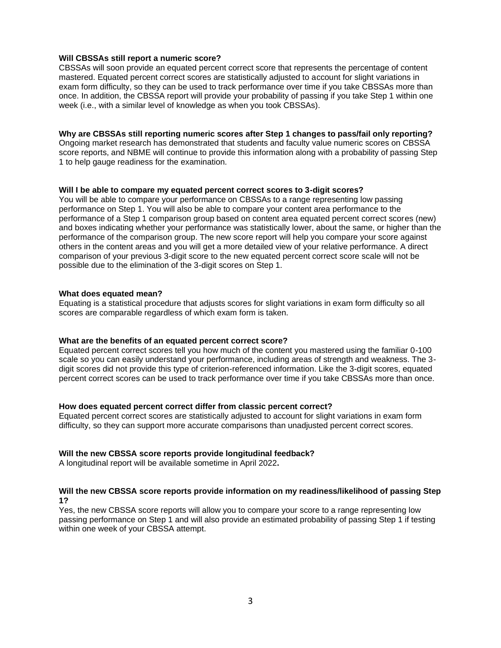# **Will CBSSAs still report a numeric score?**

CBSSAs will soon provide an equated percent correct score that represents the percentage of content mastered. Equated percent correct scores are statistically adjusted to account for slight variations in exam form difficulty, so they can be used to track performance over time if you take CBSSAs more than once. In addition, the CBSSA report will provide your probability of passing if you take Step 1 within one week (i.e., with a similar level of knowledge as when you took CBSSAs).

# **Why are CBSSAs still reporting numeric scores after Step 1 changes to pass/fail only reporting?**

Ongoing market research has demonstrated that students and faculty value numeric scores on CBSSA score reports, and NBME will continue to provide this information along with a probability of passing Step 1 to help gauge readiness for the examination.

# **Will I be able to compare my equated percent correct scores to 3-digit scores?**

You will be able to compare your performance on CBSSAs to a range representing low passing performance on Step 1. You will also be able to compare your content area performance to the performance of a Step 1 comparison group based on content area equated percent correct scores (new) and boxes indicating whether your performance was statistically lower, about the same, or higher than the performance of the comparison group. The new score report will help you compare your score against others in the content areas and you will get a more detailed view of your relative performance. A direct comparison of your previous 3-digit score to the new equated percent correct score scale will not be possible due to the elimination of the 3-digit scores on Step 1.

# **What does equated mean?**

Equating is a statistical procedure that adjusts scores for slight variations in exam form difficulty so all scores are comparable regardless of which exam form is taken.

## **What are the benefits of an equated percent correct score?**

Equated percent correct scores tell you how much of the content you mastered using the familiar 0-100 scale so you can easily understand your performance, including areas of strength and weakness. The 3 digit scores did not provide this type of criterion-referenced information. Like the 3-digit scores, equated percent correct scores can be used to track performance over time if you take CBSSAs more than once.

## **How does equated percent correct differ from classic percent correct?**

Equated percent correct scores are statistically adjusted to account for slight variations in exam form difficulty, so they can support more accurate comparisons than unadjusted percent correct scores.

## **Will the new CBSSA score reports provide longitudinal feedback?**

A longitudinal report will be available sometime in April 2022**.**

# **Will the new CBSSA score reports provide information on my readiness/likelihood of passing Step 1?**

Yes, the new CBSSA score reports will allow you to compare your score to a range representing low passing performance on Step 1 and will also provide an estimated probability of passing Step 1 if testing within one week of your CBSSA attempt.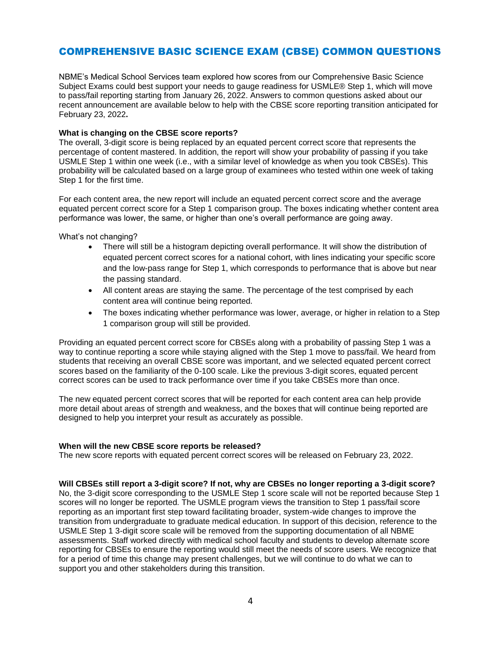# COMPREHENSIVE BASIC SCIENCE EXAM (CBSE) COMMON QUESTIONS

NBME's Medical School Services team explored how scores from our Comprehensive Basic Science Subject Exams could best support your needs to gauge readiness for USMLE® Step 1, which will move to pass/fail reporting starting from January 26, 2022. Answers to common questions asked about our recent announcement are available below to help with the CBSE score reporting transition anticipated for February 23, 2022**.**

# **What is changing on the CBSE score reports?**

The overall, 3-digit score is being replaced by an equated percent correct score that represents the percentage of content mastered. In addition, the report will show your probability of passing if you take USMLE Step 1 within one week (i.e., with a similar level of knowledge as when you took CBSEs). This probability will be calculated based on a large group of examinees who tested within one week of taking Step 1 for the first time.

For each content area, the new report will include an equated percent correct score and the average equated percent correct score for a Step 1 comparison group. The boxes indicating whether content area performance was lower, the same, or higher than one's overall performance are going away.

What's not changing?

- There will still be a histogram depicting overall performance. It will show the distribution of equated percent correct scores for a national cohort, with lines indicating your specific score and the low-pass range for Step 1, which corresponds to performance that is above but near the passing standard.
- All content areas are staying the same. The percentage of the test comprised by each content area will continue being reported.
- The boxes indicating whether performance was lower, average, or higher in relation to a Step 1 comparison group will still be provided.

Providing an equated percent correct score for CBSEs along with a probability of passing Step 1 was a way to continue reporting a score while staying aligned with the Step 1 move to pass/fail. We heard from students that receiving an overall CBSE score was important, and we selected equated percent correct scores based on the familiarity of the 0-100 scale. Like the previous 3-digit scores, equated percent correct scores can be used to track performance over time if you take CBSEs more than once.

The new equated percent correct scores that will be reported for each content area can help provide more detail about areas of strength and weakness, and the boxes that will continue being reported are designed to help you interpret your result as accurately as possible.

## **When will the new CBSE score reports be released?**

The new score reports with equated percent correct scores will be released on February 23, 2022.

## **Will CBSEs still report a 3-digit score? If not, why are CBSEs no longer reporting a 3-digit score?**

No, the 3-digit score corresponding to the USMLE Step 1 score scale will not be reported because Step 1 scores will no longer be reported. The USMLE program views the transition to Step 1 pass/fail score reporting as an important first step toward facilitating broader, system-wide changes to improve the transition from undergraduate to graduate medical education. In support of this decision, reference to the USMLE Step 1 3-digit score scale will be removed from the supporting documentation of all NBME assessments. Staff worked directly with medical school faculty and students to develop alternate score reporting for CBSEs to ensure the reporting would still meet the needs of score users. We recognize that for a period of time this change may present challenges, but we will continue to do what we can to support you and other stakeholders during this transition.